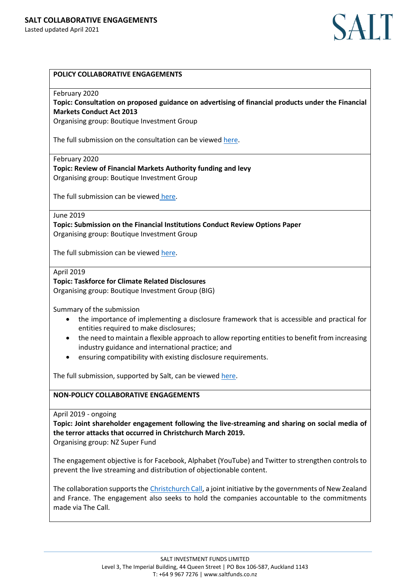

# **POLICY COLLABORATIVE ENGAGEMENTS**

## February 2020

**Topic: Consultation on proposed guidance on advertising of financial products under the Financial Markets Conduct Act 2013**

Organising group: Boutique Investment Group

The full submission on the consultation can be viewe[d here.](https://www.bignz.org/submissions-advocacy/submission-on-proposed-guidance-on-advertising-of-financial-products-under-the-financial-markets-conduct-act-2013)

February 2020

**Topic: Review of Financial Markets Authority funding and levy** Organising group: Boutique Investment Group

The full submission can be viewed [here.](https://www.bignz.org/submissions-advocacy/review-of-financial-markets-authority-funding-and-levy)

## June 2019

**Topic: Submission on the Financial Institutions Conduct Review Options Paper** Organising group: Boutique Investment Group

The full submission can be viewed [here.](https://www.bignz.org/submissions-advocacy/submissions-and-advocacy)

#### April 2019

## **Topic: Taskforce for Climate Related Disclosures**

Organising group: Boutique Investment Group (BIG)

Summary of the submission

- the importance of implementing a disclosure framework that is accessible and practical for entities required to make disclosures;
- the need to maintain a flexible approach to allow reporting entities to benefit from increasing industry guidance and international practice; and
- ensuring compatibility with existing disclosure requirements.

The full submission, supported by Salt, can be viewe[d here.](https://www.bignz.org/submissions-advocacy/to-mbie-and-mfe-on-the-discussion-document-on-climate-related-financial-disclosure-december-2019)

### **NON-POLICY COLLABORATIVE ENGAGEMENTS**

April 2019 - ongoing

**Topic: Joint shareholder engagement following the live-streaming and sharing on social media of the terror attacks that occurred in Christchurch March 2019.**

Organising group: NZ Super Fund

The engagement objective is for Facebook, Alphabet (YouTube) and Twitter to strengthen controls to prevent the live streaming and distribution of objectionable content.

The collaboration supports the [Christchurch Call,](https://www.christchurchcall.com/) a joint initiative by the governments of New Zealand and France. The engagement also seeks to hold the companies accountable to the commitments made via The Call.